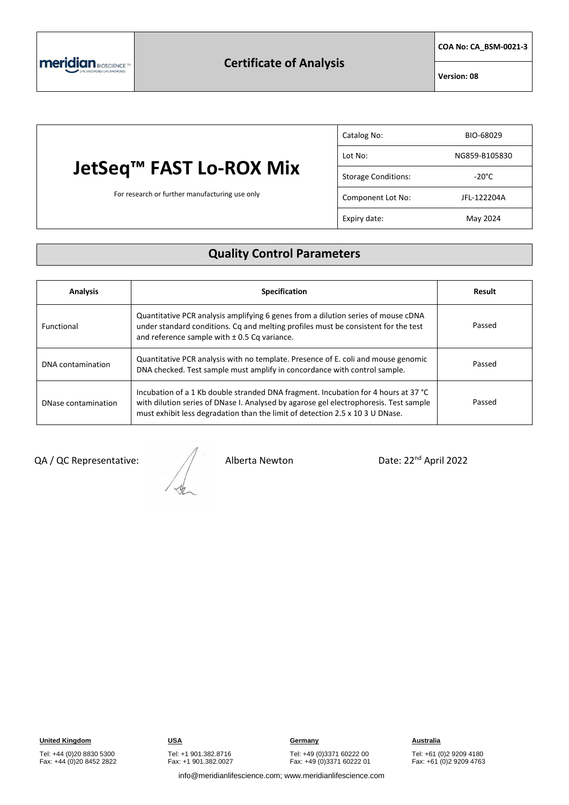

# **JetSeq™ FAST Lo-ROX Mix**

For research or further manufacturing use only

| Catalog No:                | BIO-68029       |
|----------------------------|-----------------|
| Lot No:                    | NG859-B105830   |
| <b>Storage Conditions:</b> | $-20^{\circ}$ C |
| Component Lot No:          | JFL-122204A     |
| Expiry date:               | May 2024        |

## **Quality Control Parameters**

| <b>Analysis</b>     | <b>Specification</b>                                                                                                                                                                                                                                         | Result |
|---------------------|--------------------------------------------------------------------------------------------------------------------------------------------------------------------------------------------------------------------------------------------------------------|--------|
| Functional          | Quantitative PCR analysis amplifying 6 genes from a dilution series of mouse cDNA<br>under standard conditions. Cq and melting profiles must be consistent for the test<br>and reference sample with $\pm$ 0.5 Cq variance.                                  | Passed |
| DNA contamination   | Quantitative PCR analysis with no template. Presence of E. coli and mouse genomic<br>DNA checked. Test sample must amplify in concordance with control sample.                                                                                               | Passed |
| DNase contamination | Incubation of a 1 Kb double stranded DNA fragment. Incubation for 4 hours at 37 °C<br>with dilution series of DNase I. Analysed by agarose gel electrophoresis. Test sample<br>must exhibit less degradation than the limit of detection 2.5 x 10 3 U DNase. | Passed |

QA / QC Representative:  $\sqrt{ }$  Alberta Newton Date: 22<sup>nd</sup> April 2022

**United Kingdom USA Germany Australia**

Tel: +44 (0)20 8830 5300 Fax: +44 (0)20 8452 2822 Tel: +49 (0)3371 60222 00

Fax: +49 (0)3371 60222 01

Tel: +61 (0)2 9209 4180 Fax: +61 (0)2 9209 4763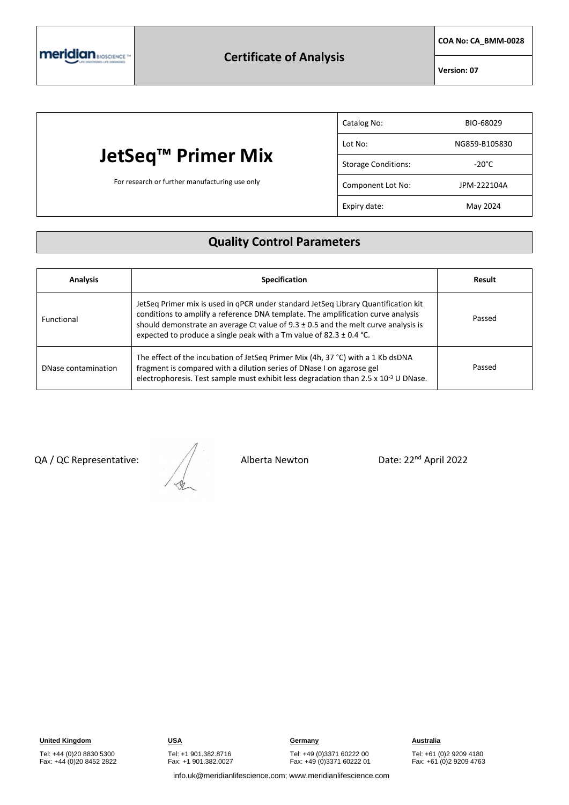

**COA No: CA\_BMM-0028**

**Version: 07**

|                                                | Catalog No:                | BIO-68029       |
|------------------------------------------------|----------------------------|-----------------|
|                                                | Lot No:                    | NG859-B105830   |
| JetSeq™ Primer Mix                             | <b>Storage Conditions:</b> | $-20^{\circ}$ C |
| For research or further manufacturing use only | Component Lot No:          | JPM-222104A     |
|                                                | Expiry date:               | May 2024        |

## **Quality Control Parameters**

| <b>Analysis</b>     | <b>Specification</b>                                                                                                                                                                                                                                                                                                                        | Result |
|---------------------|---------------------------------------------------------------------------------------------------------------------------------------------------------------------------------------------------------------------------------------------------------------------------------------------------------------------------------------------|--------|
| <b>Functional</b>   | JetSeq Primer mix is used in qPCR under standard JetSeq Library Quantification kit<br>conditions to amplify a reference DNA template. The amplification curve analysis<br>should demonstrate an average Ct value of $9.3 \pm 0.5$ and the melt curve analysis is<br>expected to produce a single peak with a Tm value of 82.3 $\pm$ 0.4 °C. | Passed |
| DNase contamination | The effect of the incubation of JetSeq Primer Mix (4h, 37 °C) with a 1 Kb dsDNA<br>fragment is compared with a dilution series of DNase I on agarose gel<br>electrophoresis. Test sample must exhibit less degradation than 2.5 x 10 <sup>-3</sup> U DNase.                                                                                 | Passed |

QA / QC Representative:  $\sqrt{2}$  Alberta Newton Date: 22<sup>nd</sup> April 2022

Tel: +44 (0)20 8830 5300 Fax: +44 (0)20 8452 2822

**United Kingdom USA Germany Australia**

Tel: +49 (0)3371 60222 00 Fax: +49 (0)3371 60222 01

Tel: +61 (0)2 9209 4180 Fax: +61 (0)2 9209 4763

info.uk@meridianlifescience.com; www.meridianlifescience.com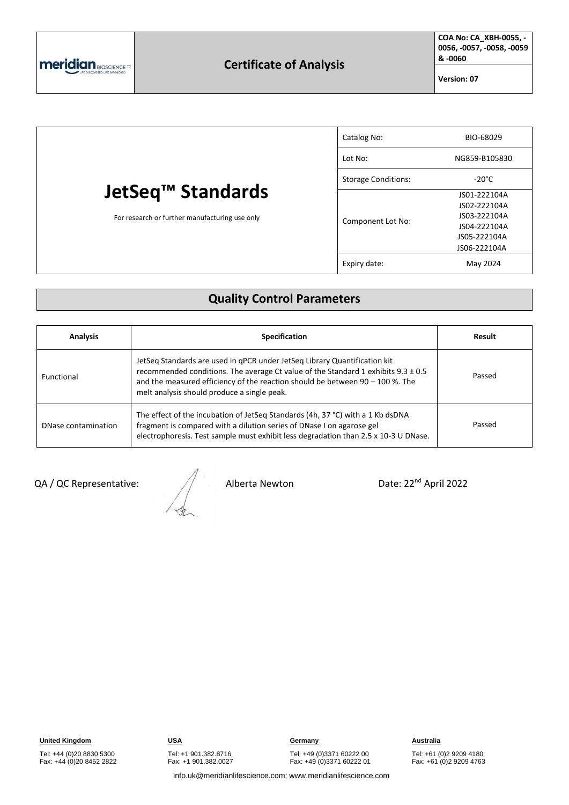

**COA No: CA\_XBH-0055, - 0056, -0057, -0058, -0059 & -0060**

**Version: 07**

| JetSeq™ Standards<br>For research or further manufacturing use only | Catalog No:                | BIO-68029                    |
|---------------------------------------------------------------------|----------------------------|------------------------------|
|                                                                     | Lot No:                    | NG859-B105830                |
|                                                                     | <b>Storage Conditions:</b> | $-20^{\circ}$ C              |
|                                                                     | Component Lot No:          | JS01-222104A<br>JS02-222104A |
|                                                                     |                            | JS03-222104A<br>JS04-222104A |
|                                                                     |                            | JS05-222104A<br>JS06-222104A |
|                                                                     | Expiry date:               | May 2024                     |

#### **Quality Control Parameters**

| <b>Analysis</b>     | <b>Specification</b>                                                                                                                                                                                                                                                                             | Result |
|---------------------|--------------------------------------------------------------------------------------------------------------------------------------------------------------------------------------------------------------------------------------------------------------------------------------------------|--------|
| Functional          | JetSeg Standards are used in gPCR under JetSeg Library Quantification kit<br>recommended conditions. The average Ct value of the Standard 1 exhibits 9.3 ± 0.5<br>and the measured efficiency of the reaction should be between $90 - 100$ %. The<br>melt analysis should produce a single peak. | Passed |
| DNase contamination | The effect of the incubation of JetSeq Standards (4h, 37 °C) with a 1 Kb dsDNA<br>fragment is compared with a dilution series of DNase I on agarose gel<br>electrophoresis. Test sample must exhibit less degradation than 2.5 x 10-3 U DNase.                                                   | Passed |

QA / QC Representative:  $\sqrt{ }$  Alberta Newton Date: 22<sup>nd</sup> April 2022

Tel: +44 (0)20 8830 5300 Fax: +44 (0)20 8452 2822 Tel: +1 901.382.8716 Fax: +1 901.382.0027

**United Kingdom USA Germany Australia**

Tel: +49 (0)3371 60222 00 Fax: +49 (0)3371 60222 01

Tel: +61 (0)2 9209 4180 Fax: +61 (0)2 9209 4763